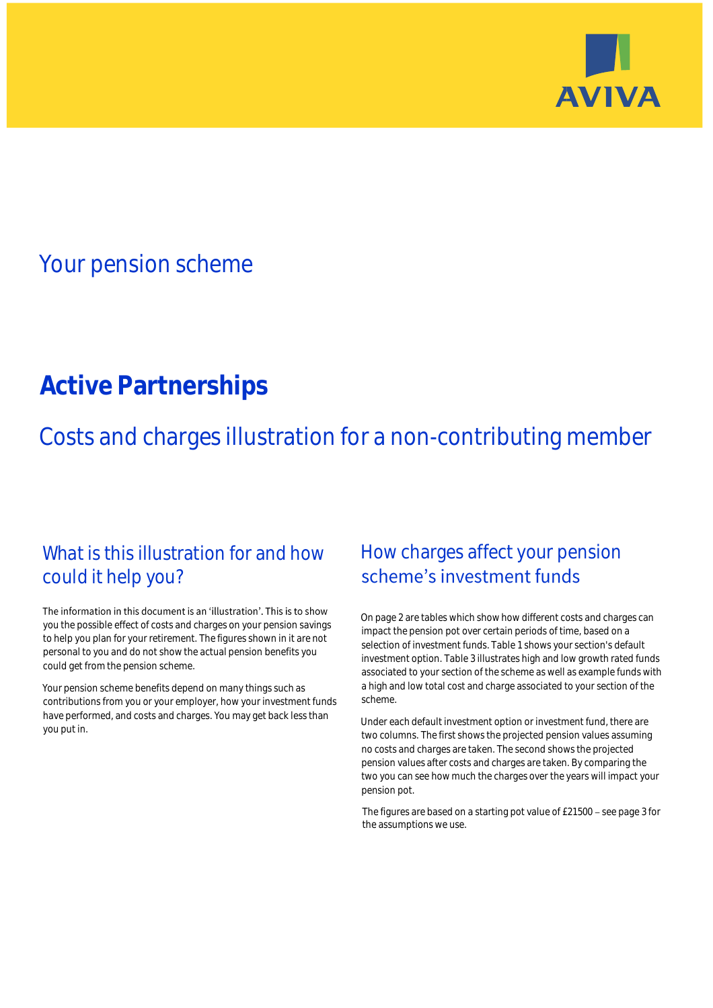

## Your pension scheme

# **Active Partnerships**

Costs and charges illustration for a non-contributing member

### What is this illustration for and how could it help you?

#### The information in this document is an 'illustration'. This is to show you the possible effect of costs and charges on your pension savings to help you plan for your retirement. The figures shown in it are not personal to you and do not show the actual pension benefits you could get from the pension scheme.

Your pension scheme benefits depend on many things such as contributions from you or your employer, how your investment funds have performed, and costs and charges. You may get back less than you put in.

### How charges affect your pension scheme's investment funds

On page 2 are tables which show how different costs and charges can impact the pension pot over certain periods of time, based on a selection of investment funds. Table 1 shows your section's default investment option. Table 3 illustrates high and low growth rated funds associated to your section of the scheme as well as example funds with a high and low total cost and charge associated to your section of the scheme.

Under each default investment option or investment fund, there are two columns. The first shows the projected pension values assuming no costs and charges are taken. The second shows the projected pension values after costs and charges are taken. By comparing the two you can see how much the charges over the years will impact your pension pot.

The figures are based on a starting pot value of  $£21500 -$  see page 3 for the assumptions we use.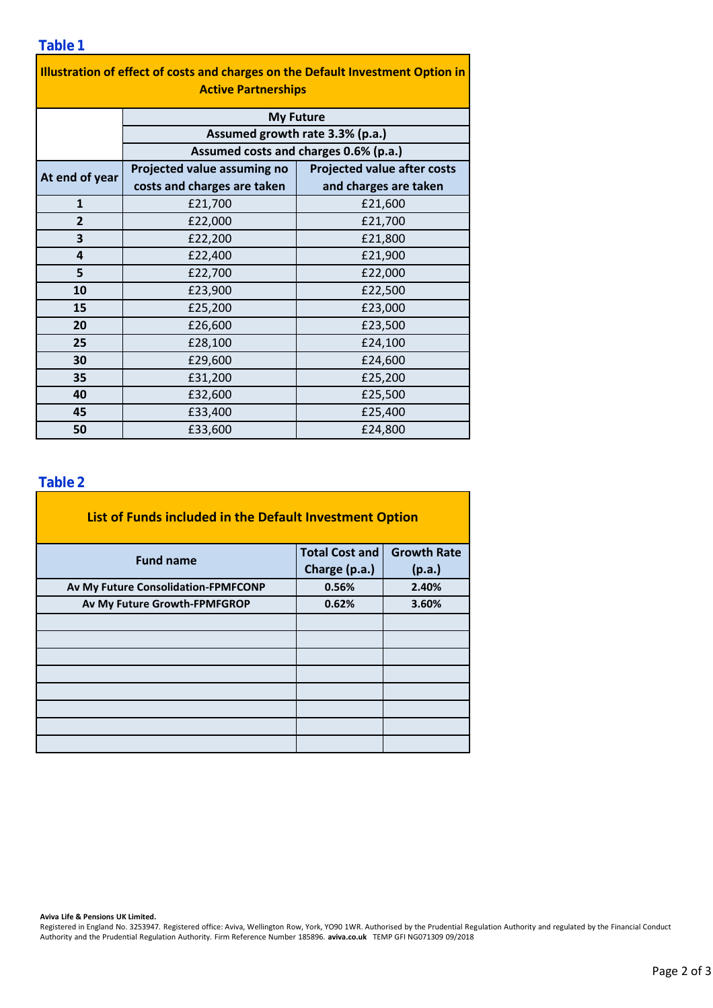| Illustration of effect of costs and charges on the Default Investment Option in |
|---------------------------------------------------------------------------------|
| <b>Active Partnerships</b>                                                      |

|                | <b>My Future</b>                      |                                    |  |  |  |  |
|----------------|---------------------------------------|------------------------------------|--|--|--|--|
|                | Assumed growth rate 3.3% (p.a.)       |                                    |  |  |  |  |
|                | Assumed costs and charges 0.6% (p.a.) |                                    |  |  |  |  |
|                | Projected value assuming no           | <b>Projected value after costs</b> |  |  |  |  |
| At end of year | costs and charges are taken           | and charges are taken              |  |  |  |  |
| $\mathbf{1}$   | £21,700                               | £21,600                            |  |  |  |  |
| $\overline{2}$ | £22,000                               | £21,700                            |  |  |  |  |
| 3              | £22,200                               | £21,800                            |  |  |  |  |
| 4              | £22,400                               | £21,900                            |  |  |  |  |
| 5              | £22,700                               | £22,000                            |  |  |  |  |
| 10             | £23,900                               | £22,500                            |  |  |  |  |
| 15             | £25,200                               | £23,000                            |  |  |  |  |
| 20             | £26,600                               | £23,500                            |  |  |  |  |
| 25             | £28,100                               | £24,100                            |  |  |  |  |
| 30             | £29,600                               | £24,600                            |  |  |  |  |
| 35             | £31,200                               | £25,200                            |  |  |  |  |
| 40             | £32,600                               | £25,500                            |  |  |  |  |
| 45             | £33,400                               | £25,400                            |  |  |  |  |
| 50             | £33,600                               | £24,800                            |  |  |  |  |

### **Table 2**

| List of Funds included in the Default Investment Option |                       |                    |  |  |  |
|---------------------------------------------------------|-----------------------|--------------------|--|--|--|
| <b>Fund name</b>                                        | <b>Total Cost and</b> | <b>Growth Rate</b> |  |  |  |
|                                                         | Charge (p.a.)         | (p.a.)             |  |  |  |
| Av My Future Consolidation-FPMFCONP                     | 0.56%                 | 2.40%              |  |  |  |
| Av My Future Growth-FPMFGROP                            | 0.62%                 | 3.60%              |  |  |  |
|                                                         |                       |                    |  |  |  |
|                                                         |                       |                    |  |  |  |
|                                                         |                       |                    |  |  |  |
|                                                         |                       |                    |  |  |  |
|                                                         |                       |                    |  |  |  |
|                                                         |                       |                    |  |  |  |
|                                                         |                       |                    |  |  |  |
|                                                         |                       |                    |  |  |  |

**Aviva Life & Pensions UK Limited.**

Registered in England No. 3253947. Registered office: Aviva, Wellington Row, York, YO90 1WR. Authorised by the Prudential Regulation Authority and regulated by the Financial Conduct Authority and the Prudential Regulation Authority. Firm Reference Number 185896. **aviva.co.uk** TEMP GFI NG071309 09/2018